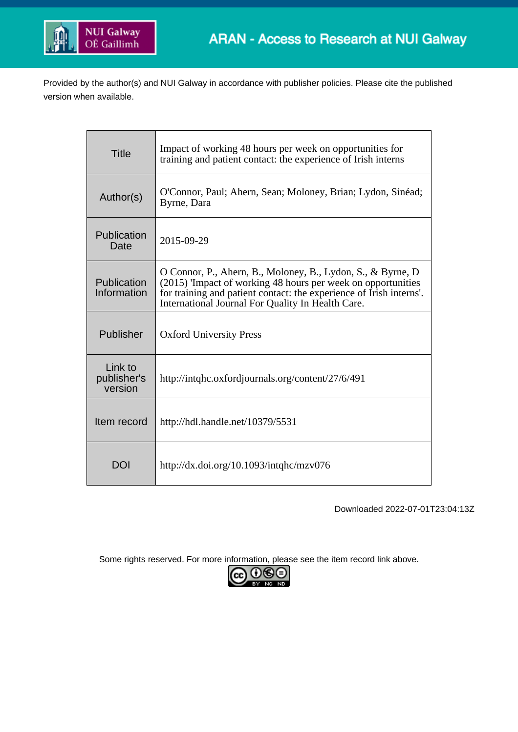

Provided by the author(s) and NUI Galway in accordance with publisher policies. Please cite the published version when available.

| <b>Title</b>                      | Impact of working 48 hours per week on opportunities for<br>training and patient contact: the experience of Irish interns                                                                                                                               |
|-----------------------------------|---------------------------------------------------------------------------------------------------------------------------------------------------------------------------------------------------------------------------------------------------------|
| Author(s)                         | O'Connor, Paul; Ahern, Sean; Moloney, Brian; Lydon, Sinéad;<br>Byrne, Dara                                                                                                                                                                              |
| Publication<br>Date               | 2015-09-29                                                                                                                                                                                                                                              |
| Publication<br>Information        | O Connor, P., Ahern, B., Moloney, B., Lydon, S., & Byrne, D<br>(2015) 'Impact of working 48 hours per week on opportunities<br>for training and patient contact: the experience of Irish interns'.<br>International Journal For Quality In Health Care. |
| Publisher                         | <b>Oxford University Press</b>                                                                                                                                                                                                                          |
| Link to<br>publisher's<br>version | http://intqhc.oxfordjournals.org/content/27/6/491                                                                                                                                                                                                       |
| Item record                       | http://hdl.handle.net/10379/5531                                                                                                                                                                                                                        |
| DOI                               | http://dx.doi.org/10.1093/intqhc/mzv076                                                                                                                                                                                                                 |

Downloaded 2022-07-01T23:04:13Z

Some rights reserved. For more information, please see the item record link above.

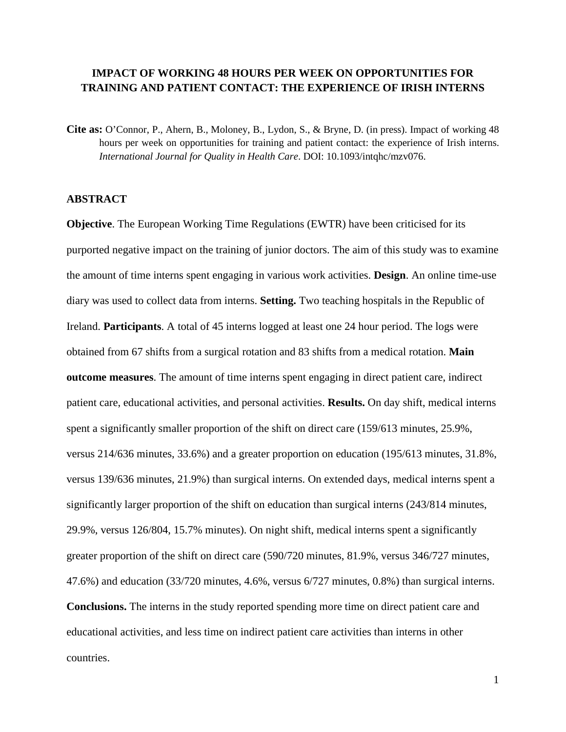## **IMPACT OF WORKING 48 HOURS PER WEEK ON OPPORTUNITIES FOR TRAINING AND PATIENT CONTACT: THE EXPERIENCE OF IRISH INTERNS**

**Cite as:** O'Connor, P., Ahern, B., Moloney, B., Lydon, S., & Bryne, D. (in press). Impact of working 48 hours per week on opportunities for training and patient contact: the experience of Irish interns. *International Journal for Quality in Health Care*. DOI: 10.1093/intqhc/mzv076.

## **ABSTRACT**

**Objective**. The European Working Time Regulations (EWTR) have been criticised for its purported negative impact on the training of junior doctors. The aim of this study was to examine the amount of time interns spent engaging in various work activities. **Design**. An online time-use diary was used to collect data from interns. **Setting.** Two teaching hospitals in the Republic of Ireland. **Participants**. A total of 45 interns logged at least one 24 hour period. The logs were obtained from 67 shifts from a surgical rotation and 83 shifts from a medical rotation. **Main outcome measures**. The amount of time interns spent engaging in direct patient care, indirect patient care, educational activities, and personal activities. **Results.** On day shift, medical interns spent a significantly smaller proportion of the shift on direct care (159/613 minutes, 25.9%, versus 214/636 minutes, 33.6%) and a greater proportion on education (195/613 minutes, 31.8%, versus 139/636 minutes, 21.9%) than surgical interns. On extended days, medical interns spent a significantly larger proportion of the shift on education than surgical interns (243/814 minutes, 29.9%, versus 126/804, 15.7% minutes). On night shift, medical interns spent a significantly greater proportion of the shift on direct care (590/720 minutes, 81.9%, versus 346/727 minutes, 47.6%) and education (33/720 minutes, 4.6%, versus 6/727 minutes, 0.8%) than surgical interns. **Conclusions.** The interns in the study reported spending more time on direct patient care and educational activities, and less time on indirect patient care activities than interns in other countries.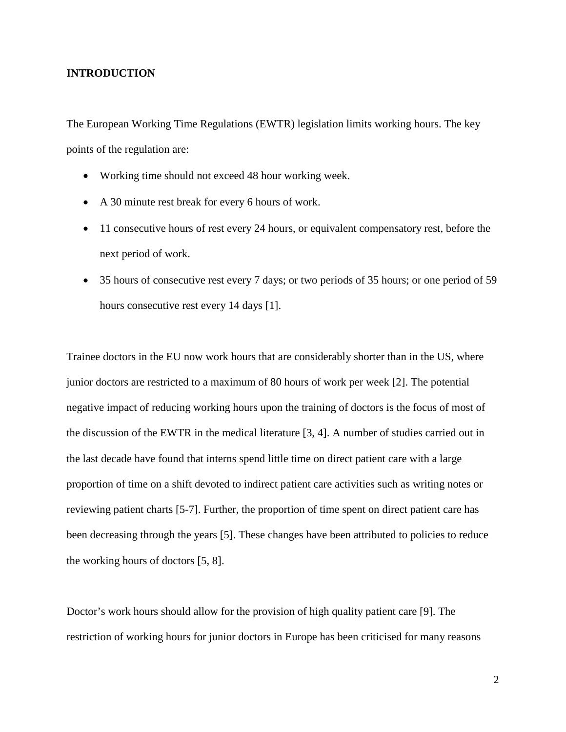#### **INTRODUCTION**

The European Working Time Regulations (EWTR) legislation limits working hours. The key points of the regulation are:

- Working time should not exceed 48 hour working week.
- A 30 minute rest break for every 6 hours of work.
- 11 consecutive hours of rest every 24 hours, or equivalent compensatory rest, before the next period of work.
- 35 hours of consecutive rest every 7 days; or two periods of 35 hours; or one period of 59 hours consecutive rest every 14 days [1].

Trainee doctors in the EU now work hours that are considerably shorter than in the US, where junior doctors are restricted to a maximum of 80 hours of work per week [2]. The potential negative impact of reducing working hours upon the training of doctors is the focus of most of the discussion of the EWTR in the medical literature [3, 4]. A number of studies carried out in the last decade have found that interns spend little time on direct patient care with a large proportion of time on a shift devoted to indirect patient care activities such as writing notes or reviewing patient charts [5-7]. Further, the proportion of time spent on direct patient care has been decreasing through the years [5]. These changes have been attributed to policies to reduce the working hours of doctors [5, 8].

Doctor's work hours should allow for the provision of high quality patient care [9]. The restriction of working hours for junior doctors in Europe has been criticised for many reasons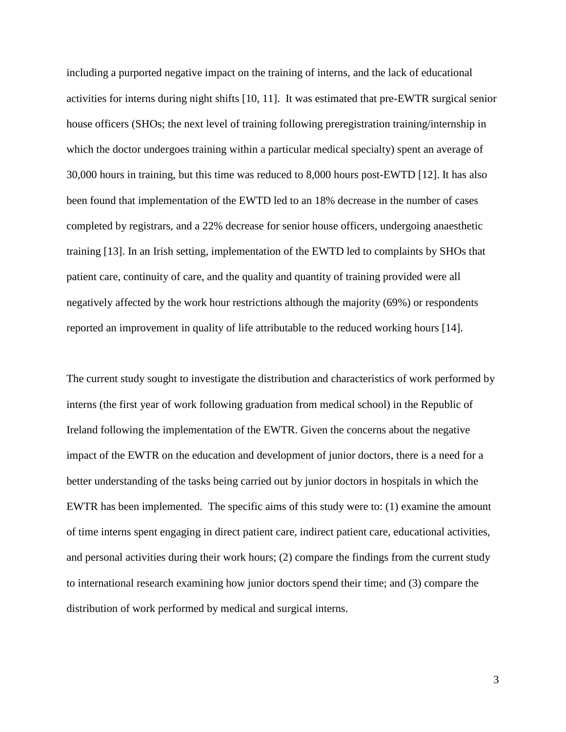including a purported negative impact on the training of interns, and the lack of educational activities for interns during night shifts [10, 11]. It was estimated that pre-EWTR surgical senior house officers (SHOs; the next level of training following preregistration training/internship in which the doctor undergoes training within a particular medical specialty) spent an average of 30,000 hours in training, but this time was reduced to 8,000 hours post-EWTD [12]. It has also been found that implementation of the EWTD led to an 18% decrease in the number of cases completed by registrars, and a 22% decrease for senior house officers, undergoing anaesthetic training [13]. In an Irish setting, implementation of the EWTD led to complaints by SHOs that patient care, continuity of care, and the quality and quantity of training provided were all negatively affected by the work hour restrictions although the majority (69%) or respondents reported an improvement in quality of life attributable to the reduced working hours [14].

The current study sought to investigate the distribution and characteristics of work performed by interns (the first year of work following graduation from medical school) in the Republic of Ireland following the implementation of the EWTR. Given the concerns about the negative impact of the EWTR on the education and development of junior doctors, there is a need for a better understanding of the tasks being carried out by junior doctors in hospitals in which the EWTR has been implemented. The specific aims of this study were to: (1) examine the amount of time interns spent engaging in direct patient care, indirect patient care, educational activities, and personal activities during their work hours; (2) compare the findings from the current study to international research examining how junior doctors spend their time; and (3) compare the distribution of work performed by medical and surgical interns.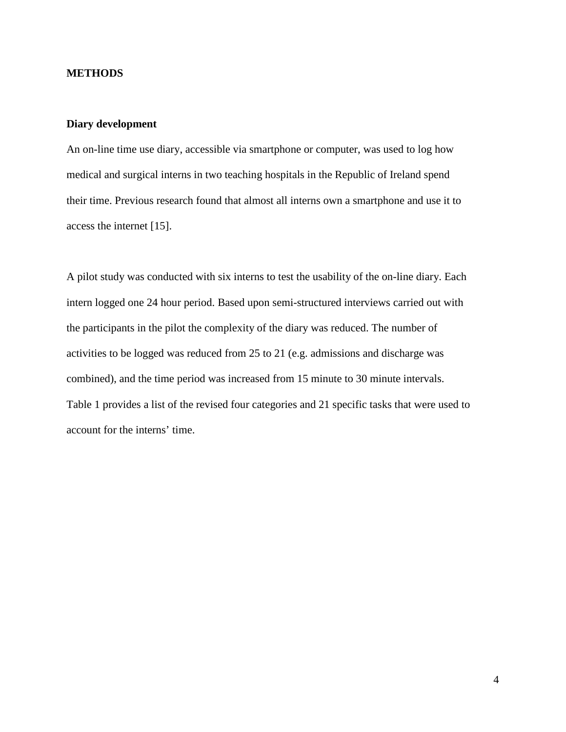## **METHODS**

## **Diary development**

An on-line time use diary, accessible via smartphone or computer, was used to log how medical and surgical interns in two teaching hospitals in the Republic of Ireland spend their time. Previous research found that almost all interns own a smartphone and use it to access the internet [15].

A pilot study was conducted with six interns to test the usability of the on-line diary. Each intern logged one 24 hour period. Based upon semi-structured interviews carried out with the participants in the pilot the complexity of the diary was reduced. The number of activities to be logged was reduced from 25 to 21 (e.g. admissions and discharge was combined), and the time period was increased from 15 minute to 30 minute intervals. Table 1 provides a list of the revised four categories and 21 specific tasks that were used to account for the interns' time.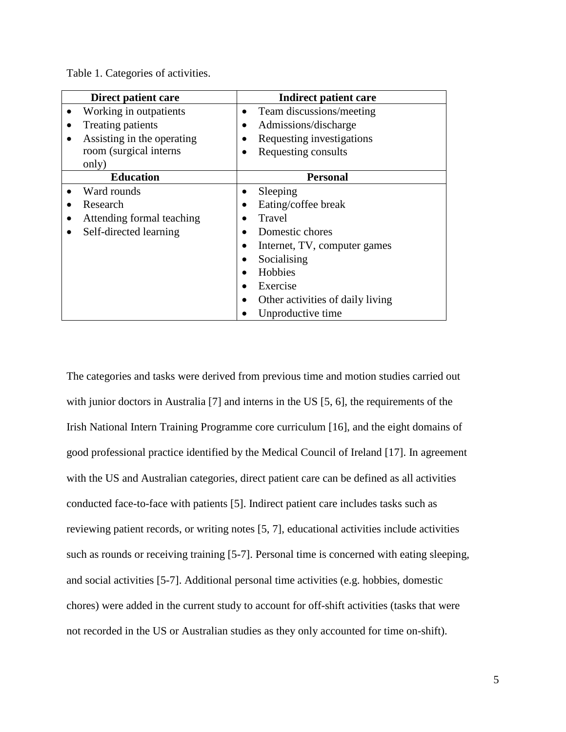| Direct patient care        | Indirect patient care                         |  |  |  |  |  |
|----------------------------|-----------------------------------------------|--|--|--|--|--|
| Working in outpatients     | Team discussions/meeting                      |  |  |  |  |  |
| Treating patients          | Admissions/discharge<br>٠                     |  |  |  |  |  |
| Assisting in the operating | Requesting investigations                     |  |  |  |  |  |
| room (surgical interns     | Requesting consults<br>$\bullet$              |  |  |  |  |  |
| only)                      |                                               |  |  |  |  |  |
| <b>Education</b>           | <b>Personal</b>                               |  |  |  |  |  |
| Ward rounds                | Sleeping<br>٠                                 |  |  |  |  |  |
| Research                   | Eating/coffee break                           |  |  |  |  |  |
| Attending formal teaching  | Travel                                        |  |  |  |  |  |
| Self-directed learning     | Domestic chores                               |  |  |  |  |  |
|                            | Internet, TV, computer games                  |  |  |  |  |  |
|                            | Socialising                                   |  |  |  |  |  |
|                            | Hobbies                                       |  |  |  |  |  |
|                            | Exercise                                      |  |  |  |  |  |
|                            | Other activities of daily living<br>$\bullet$ |  |  |  |  |  |
|                            | Unproductive time                             |  |  |  |  |  |

Table 1. Categories of activities.

The categories and tasks were derived from previous time and motion studies carried out with junior doctors in Australia [7] and interns in the US [5, 6], the requirements of the Irish National Intern Training Programme core curriculum [16], and the eight domains of good professional practice identified by the Medical Council of Ireland [17]. In agreement with the US and Australian categories, direct patient care can be defined as all activities conducted face-to-face with patients [5]. Indirect patient care includes tasks such as reviewing patient records, or writing notes [5, 7], educational activities include activities such as rounds or receiving training [5-7]. Personal time is concerned with eating sleeping, and social activities [5-7]. Additional personal time activities (e.g. hobbies, domestic chores) were added in the current study to account for off-shift activities (tasks that were not recorded in the US or Australian studies as they only accounted for time on-shift).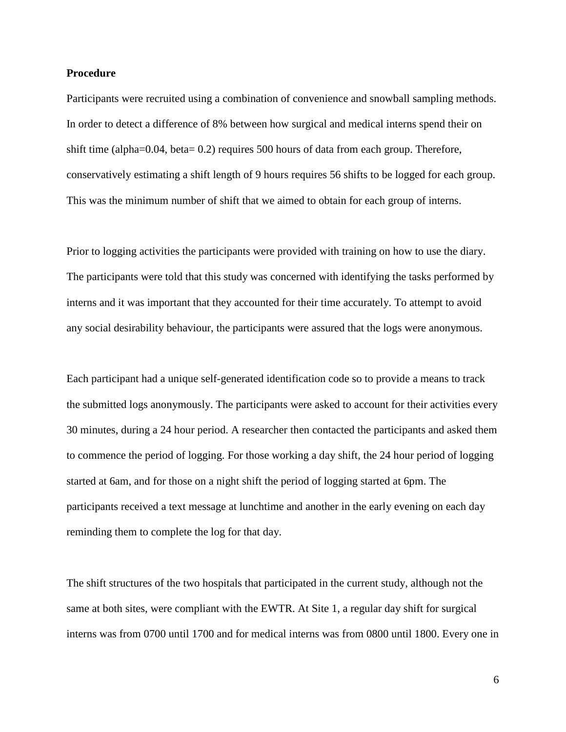#### **Procedure**

Participants were recruited using a combination of convenience and snowball sampling methods. In order to detect a difference of 8% between how surgical and medical interns spend their on shift time (alpha=0.04, beta= 0.2) requires 500 hours of data from each group. Therefore, conservatively estimating a shift length of 9 hours requires 56 shifts to be logged for each group. This was the minimum number of shift that we aimed to obtain for each group of interns.

Prior to logging activities the participants were provided with training on how to use the diary. The participants were told that this study was concerned with identifying the tasks performed by interns and it was important that they accounted for their time accurately. To attempt to avoid any social desirability behaviour, the participants were assured that the logs were anonymous.

Each participant had a unique self-generated identification code so to provide a means to track the submitted logs anonymously. The participants were asked to account for their activities every 30 minutes, during a 24 hour period. A researcher then contacted the participants and asked them to commence the period of logging. For those working a day shift, the 24 hour period of logging started at 6am, and for those on a night shift the period of logging started at 6pm. The participants received a text message at lunchtime and another in the early evening on each day reminding them to complete the log for that day.

The shift structures of the two hospitals that participated in the current study, although not the same at both sites, were compliant with the EWTR. At Site 1, a regular day shift for surgical interns was from 0700 until 1700 and for medical interns was from 0800 until 1800. Every one in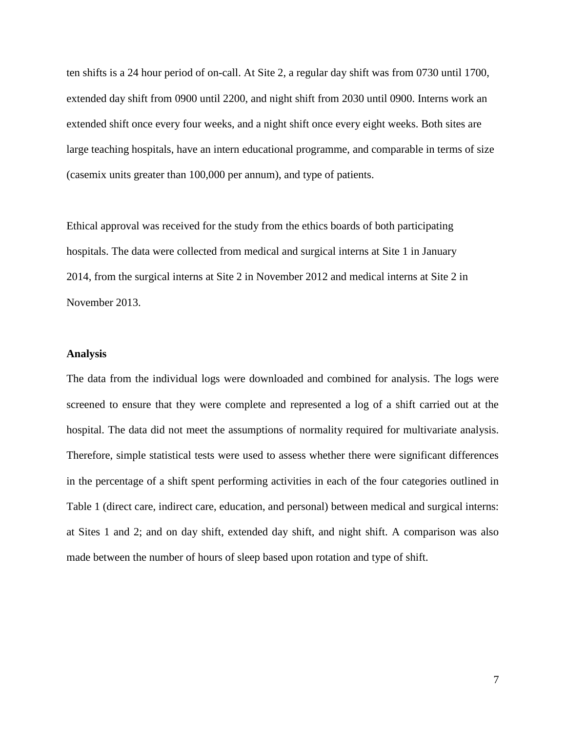ten shifts is a 24 hour period of on-call. At Site 2, a regular day shift was from 0730 until 1700, extended day shift from 0900 until 2200, and night shift from 2030 until 0900. Interns work an extended shift once every four weeks, and a night shift once every eight weeks. Both sites are large teaching hospitals, have an intern educational programme, and comparable in terms of size (casemix units greater than 100,000 per annum), and type of patients.

Ethical approval was received for the study from the ethics boards of both participating hospitals. The data were collected from medical and surgical interns at Site 1 in January 2014, from the surgical interns at Site 2 in November 2012 and medical interns at Site 2 in November 2013.

### **Analysis**

The data from the individual logs were downloaded and combined for analysis. The logs were screened to ensure that they were complete and represented a log of a shift carried out at the hospital. The data did not meet the assumptions of normality required for multivariate analysis. Therefore, simple statistical tests were used to assess whether there were significant differences in the percentage of a shift spent performing activities in each of the four categories outlined in Table 1 (direct care, indirect care, education, and personal) between medical and surgical interns: at Sites 1 and 2; and on day shift, extended day shift, and night shift. A comparison was also made between the number of hours of sleep based upon rotation and type of shift.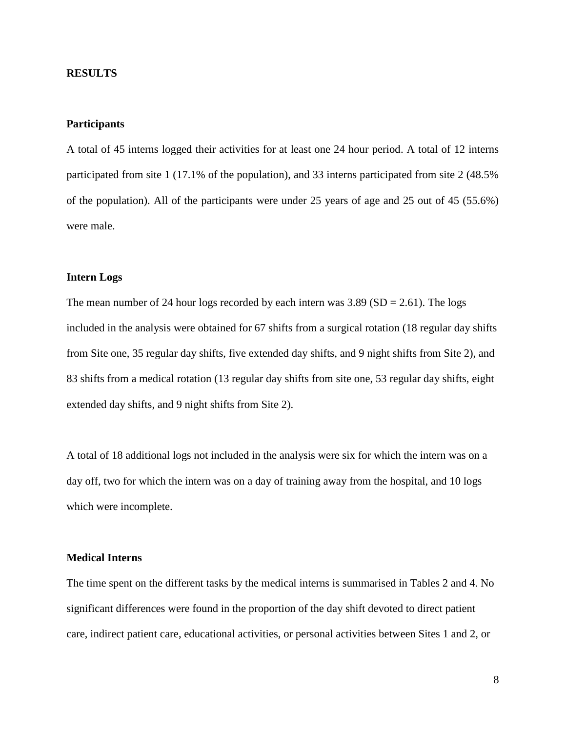#### **RESULTS**

## **Participants**

A total of 45 interns logged their activities for at least one 24 hour period. A total of 12 interns participated from site 1 (17.1% of the population), and 33 interns participated from site 2 (48.5% of the population). All of the participants were under 25 years of age and 25 out of 45 (55.6%) were male.

## **Intern Logs**

The mean number of 24 hour logs recorded by each intern was  $3.89$  (SD = 2.61). The logs included in the analysis were obtained for 67 shifts from a surgical rotation (18 regular day shifts from Site one, 35 regular day shifts, five extended day shifts, and 9 night shifts from Site 2), and 83 shifts from a medical rotation (13 regular day shifts from site one, 53 regular day shifts, eight extended day shifts, and 9 night shifts from Site 2).

A total of 18 additional logs not included in the analysis were six for which the intern was on a day off, two for which the intern was on a day of training away from the hospital, and 10 logs which were incomplete.

## **Medical Interns**

The time spent on the different tasks by the medical interns is summarised in Tables 2 and 4. No significant differences were found in the proportion of the day shift devoted to direct patient care, indirect patient care, educational activities, or personal activities between Sites 1 and 2, or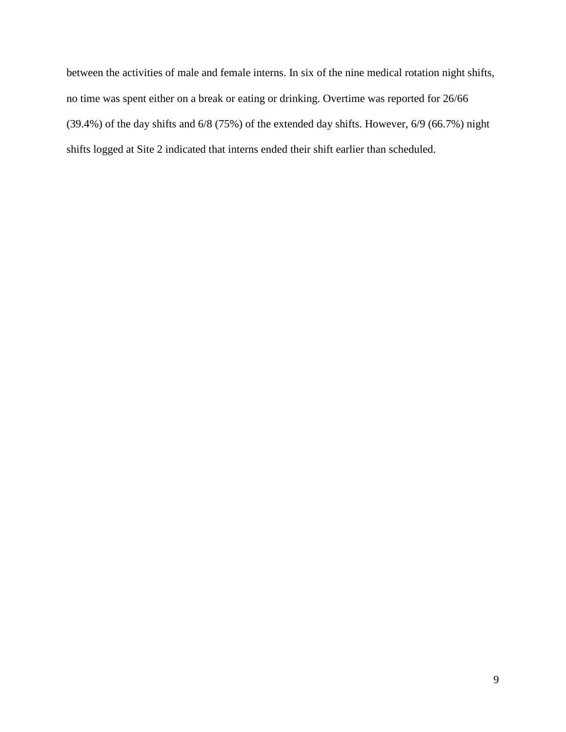between the activities of male and female interns. In six of the nine medical rotation night shifts, no time was spent either on a break or eating or drinking. Overtime was reported for 26/66 (39.4%) of the day shifts and 6/8 (75%) of the extended day shifts. However, 6/9 (66.7%) night shifts logged at Site 2 indicated that interns ended their shift earlier than scheduled.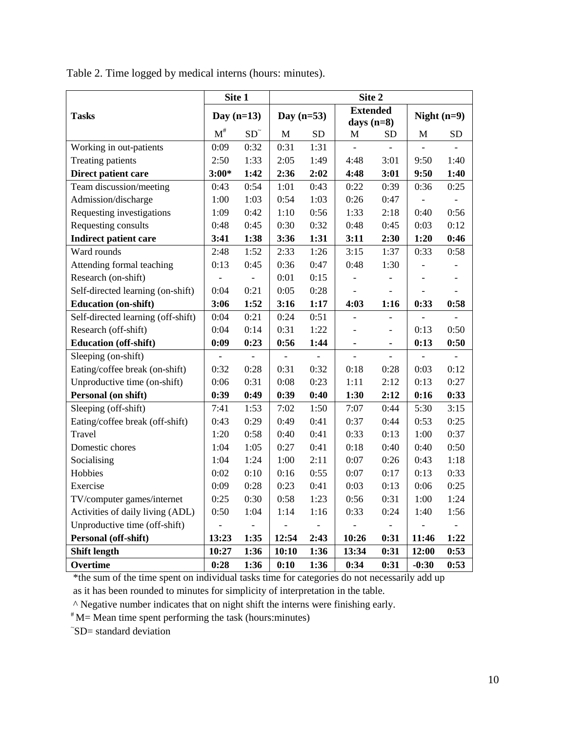|                                    | Site 1       |                          | Site 2       |           |                                 |                              |               |                |  |
|------------------------------------|--------------|--------------------------|--------------|-----------|---------------------------------|------------------------------|---------------|----------------|--|
| <b>Tasks</b>                       | Day $(n=13)$ |                          | Day $(n=53)$ |           | <b>Extended</b><br>days $(n=8)$ |                              | Night $(n=9)$ |                |  |
|                                    | $M^{\#}$     | $SD^$                    | $\mathbf M$  | <b>SD</b> | M                               | SD                           | М             | SD             |  |
| Working in out-patients            | 0:09         | 0:32                     | 0:31         | 1:31      | $\overline{a}$                  |                              |               |                |  |
| <b>Treating patients</b>           | 2:50         | 1:33                     | 2:05         | 1:49      | 4:48                            | 3:01                         | 9:50          | 1:40           |  |
| Direct patient care                | $3:00*$      | 1:42                     | 2:36         | 2:02      | 4:48                            | 3:01                         | 9:50          | 1:40           |  |
| Team discussion/meeting            | 0:43         | 0:54                     | 1:01         | 0:43      | 0:22                            | 0:39                         | 0:36          | 0:25           |  |
| Admission/discharge                | 1:00         | 1:03                     | 0:54         | 1:03      | 0:26                            | 0:47                         |               |                |  |
| Requesting investigations          | 1:09         | 0:42                     | 1:10         | 0:56      | 1:33                            | 2:18                         | 0:40          | 0:56           |  |
| Requesting consults                | 0:48         | 0:45                     | 0:30         | 0:32      | 0:48                            | 0:45                         | 0:03          | 0:12           |  |
| <b>Indirect patient care</b>       | 3:41         | 1:38                     | 3:36         | 1:31      | 3:11                            | 2:30                         | 1:20          | 0:46           |  |
| Ward rounds                        | 2:48         | 1:52                     | 2:33         | 1:26      | 3:15                            | 1:37                         | 0:33          | 0:58           |  |
| Attending formal teaching          | 0:13         | 0:45                     | 0:36         | 0:47      | 0:48                            | 1:30                         |               |                |  |
| Research (on-shift)                |              |                          | 0:01         | 0:15      |                                 |                              |               |                |  |
| Self-directed learning (on-shift)  | 0:04         | 0:21                     | 0:05         | 0:28      |                                 |                              |               |                |  |
| <b>Education (on-shift)</b>        | 3:06         | 1:52                     | 3:16         | 1:17      | 4:03                            | 1:16                         | 0:33          | 0:58           |  |
| Self-directed learning (off-shift) | 0:04         | 0:21                     | 0:24         | 0:51      |                                 |                              |               |                |  |
| Research (off-shift)               | 0:04         | 0:14                     | 0:31         | 1:22      | $\overline{a}$                  | $\overline{\phantom{0}}$     | 0:13          | 0:50           |  |
| <b>Education (off-shift)</b>       | 0:09         | 0:23                     | 0:56         | 1:44      | $\blacksquare$                  | $\qquad \qquad \blacksquare$ | 0:13          | 0:50           |  |
| Sleeping (on-shift)                |              |                          |              |           |                                 | $\overline{a}$               |               |                |  |
| Eating/coffee break (on-shift)     | 0:32         | 0:28                     | 0:31         | 0:32      | 0:18                            | 0:28                         | 0:03          | 0:12           |  |
| Unproductive time (on-shift)       | 0:06         | 0:31                     | 0:08         | 0:23      | 1:11                            | 2:12                         | 0:13          | 0:27           |  |
| Personal (on shift)                | 0:39         | 0:49                     | 0:39         | 0:40      | 1:30                            | 2:12                         | 0:16          | 0:33           |  |
| Sleeping (off-shift)               | 7:41         | 1:53                     | 7:02         | 1:50      | 7:07                            | 0:44                         | 5:30          | 3:15           |  |
| Eating/coffee break (off-shift)    | 0:43         | 0:29                     | 0:49         | 0:41      | 0:37                            | 0:44                         | 0:53          | 0:25           |  |
| Travel                             | 1:20         | 0:58                     | 0:40         | 0:41      | 0:33                            | 0:13                         | 1:00          | 0:37           |  |
| Domestic chores                    | 1:04         | 1:05                     | 0:27         | 0:41      | 0:18                            | 0:40                         | 0:40          | 0:50           |  |
| Socialising                        | 1:04         | 1:24                     | 1:00         | 2:11      | 0:07                            | 0:26                         | 0:43          | 1:18           |  |
| Hobbies                            | 0:02         | 0:10                     | 0:16         | 0:55      | 0:07                            | 0:17                         | 0:13          | 0:33           |  |
| Exercise                           | 0:09         | 0:28                     | 0:23         | 0:41      | 0:03                            | 0:13                         | 0:06          | 0:25           |  |
| TV/computer games/internet         | 0:25         | 0:30                     | 0:58         | 1:23      | 0:56                            | 0:31                         | 1:00          | 1:24           |  |
| Activities of daily living (ADL)   | 0:50         | 1:04                     | 1:14         | 1:16      | 0:33                            | 0:24                         | 1:40          | 1:56           |  |
| Unproductive time (off-shift)      |              | $\overline{\phantom{0}}$ |              |           |                                 | $\overline{a}$               |               | $\overline{a}$ |  |
| Personal (off-shift)               | 13:23        | 1:35                     | 12:54        | 2:43      | 10:26                           | 0:31                         | 11:46         | 1:22           |  |
| <b>Shift length</b>                | 10:27        | 1:36                     | 10:10        | 1:36      | 13:34                           | 0:31                         | 12:00         | 0:53           |  |
| Overtime                           | 0:28         | 1:36                     | 0:10         | 1:36      | 0:34                            | 0:31                         | $-0:30$       | 0:53           |  |

Table 2. Time logged by medical interns (hours: minutes).

\*the sum of the time spent on individual tasks time for categories do not necessarily add up as it has been rounded to minutes for simplicity of interpretation in the table.

^ Negative number indicates that on night shift the interns were finishing early.

# M= Mean time spent performing the task (hours:minutes)

~ SD= standard deviation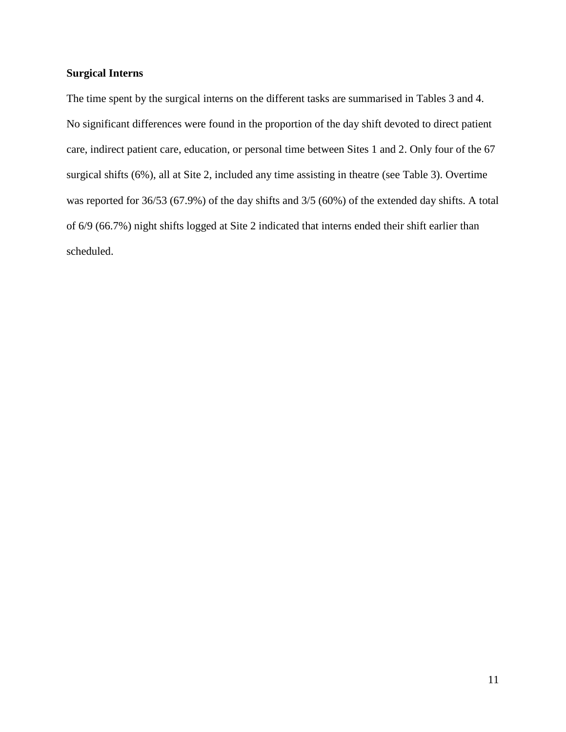# **Surgical Interns**

The time spent by the surgical interns on the different tasks are summarised in Tables 3 and 4. No significant differences were found in the proportion of the day shift devoted to direct patient care, indirect patient care, education, or personal time between Sites 1 and 2. Only four of the 67 surgical shifts (6%), all at Site 2, included any time assisting in theatre (see Table 3). Overtime was reported for 36/53 (67.9%) of the day shifts and 3/5 (60%) of the extended day shifts. A total of 6/9 (66.7%) night shifts logged at Site 2 indicated that interns ended their shift earlier than scheduled.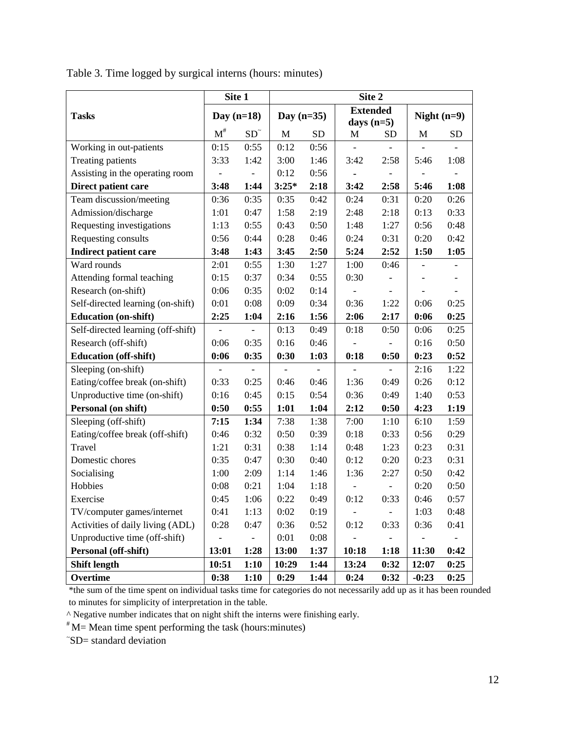|                                    | Site 1                   |       | Site 2       |           |                                 |                              |               |           |  |
|------------------------------------|--------------------------|-------|--------------|-----------|---------------------------------|------------------------------|---------------|-----------|--|
| <b>Tasks</b>                       | Day $(n=18)$             |       | Day $(n=35)$ |           | <b>Extended</b><br>days $(n=5)$ |                              | Night $(n=9)$ |           |  |
|                                    | $M^{\#}$                 | $SD^$ | M            | <b>SD</b> | M                               | <b>SD</b>                    | M             | <b>SD</b> |  |
| Working in out-patients            | 0:15                     | 0:55  | 0:12         | 0:56      |                                 |                              |               |           |  |
| Treating patients                  | 3:33                     | 1:42  | 3:00         | 1:46      | 3:42                            | 2:58                         | 5:46          | 1:08      |  |
| Assisting in the operating room    |                          |       | 0:12         | 0:56      |                                 | -                            |               |           |  |
| Direct patient care                | 3:48                     | 1:44  | $3:25*$      | 2:18      | 3:42                            | 2:58                         | 5:46          | 1:08      |  |
| Team discussion/meeting            | 0:36                     | 0:35  | 0:35         | 0:42      | 0:24                            | 0:31                         | 0:20          | 0:26      |  |
| Admission/discharge                | 1:01                     | 0:47  | 1:58         | 2:19      | 2:48                            | 2:18                         | 0:13          | 0:33      |  |
| Requesting investigations          | 1:13                     | 0:55  | 0:43         | 0:50      | 1:48                            | 1:27                         | 0:56          | 0:48      |  |
| Requesting consults                | 0:56                     | 0:44  | 0:28         | 0:46      | 0:24                            | 0:31                         | 0:20          | 0:42      |  |
| <b>Indirect patient care</b>       | 3:48                     | 1:43  | 3:45         | 2:50      | 5:24                            | 2:52                         | 1:50          | 1:05      |  |
| Ward rounds                        | 2:01                     | 0:55  | 1:30         | 1:27      | 1:00                            | 0:46                         |               |           |  |
| Attending formal teaching          | 0:15                     | 0:37  | 0:34         | 0:55      | 0:30                            |                              |               |           |  |
| Research (on-shift)                | 0:06                     | 0:35  | 0:02         | 0:14      |                                 |                              |               |           |  |
| Self-directed learning (on-shift)  | 0:01                     | 0:08  | 0:09         | 0:34      | 0:36                            | 1:22                         | 0:06          | 0:25      |  |
| <b>Education</b> (on-shift)        | 2:25                     | 1:04  | 2:16         | 1:56      | 2:06                            | 2:17                         | 0:06          | 0:25      |  |
| Self-directed learning (off-shift) | $\overline{\phantom{0}}$ |       | 0:13         | 0:49      | 0:18                            | 0:50                         | 0:06          | 0:25      |  |
| Research (off-shift)               | 0:06                     | 0:35  | 0:16         | 0:46      |                                 |                              | 0:16          | 0:50      |  |
| <b>Education (off-shift)</b>       | 0:06                     | 0:35  | 0:30         | 1:03      | 0:18                            | 0:50                         | 0:23          | 0:52      |  |
| Sleeping (on-shift)                |                          |       |              |           |                                 |                              | 2:16          | 1:22      |  |
| Eating/coffee break (on-shift)     | 0:33                     | 0:25  | 0:46         | 0:46      | 1:36                            | 0:49                         | 0:26          | 0:12      |  |
| Unproductive time (on-shift)       | 0:16                     | 0:45  | 0:15         | 0:54      | 0:36                            | 0:49                         | 1:40          | 0:53      |  |
| Personal (on shift)                | 0:50                     | 0:55  | 1:01         | 1:04      | 2:12                            | 0:50                         | 4:23          | 1:19      |  |
| Sleeping (off-shift)               | 7:15                     | 1:34  | 7:38         | 1:38      | 7:00                            | 1:10                         | 6:10          | 1:59      |  |
| Eating/coffee break (off-shift)    | 0:46                     | 0:32  | 0:50         | 0:39      | 0:18                            | 0:33                         | 0:56          | 0:29      |  |
| Travel                             | 1:21                     | 0:31  | 0:38         | 1:14      | 0:48                            | 1:23                         | 0:23          | 0:31      |  |
| Domestic chores                    | 0:35                     | 0:47  | 0:30         | 0:40      | 0:12                            | 0:20                         | 0:23          | 0:31      |  |
| Socialising                        | 1:00                     | 2:09  | 1:14         | 1:46      | 1:36                            | 2:27                         | 0:50          | 0:42      |  |
| Hobbies                            | 0:08                     | 0:21  | 1:04         | 1:18      |                                 | $\qquad \qquad \blacksquare$ | 0:20          | 0:50      |  |
| Exercise                           | 0:45                     | 1:06  | 0:22         | 0:49      | 0:12                            | 0:33                         | 0:46          | 0:57      |  |
| TV/computer games/internet         | 0:41                     | 1:13  | 0:02         | 0:19      |                                 | $\overline{\phantom{0}}$     | 1:03          | 0:48      |  |
| Activities of daily living (ADL)   | 0:28                     | 0:47  | 0:36         | 0:52      | 0:12                            | 0:33                         | 0:36          | 0:41      |  |
| Unproductive time (off-shift)      |                          |       | 0:01         | 0:08      |                                 |                              |               |           |  |
| Personal (off-shift)               | 13:01                    | 1:28  | 13:00        | 1:37      | 10:18                           | 1:18                         | 11:30         | 0:42      |  |
| <b>Shift length</b>                | 10:51                    | 1:10  | 10:29        | 1:44      | 13:24                           | 0:32                         | 12:07         | 0:25      |  |
| Overtime                           | 0:38                     | 1:10  | 0:29         | 1:44      | 0:24                            | 0:32                         | $-0:23$       | 0:25      |  |

Table 3. Time logged by surgical interns (hours: minutes)

\*the sum of the time spent on individual tasks time for categories do not necessarily add up as it has been rounded to minutes for simplicity of interpretation in the table.

^ Negative number indicates that on night shift the interns were finishing early.

 $*M$ = Mean time spent performing the task (hours: minutes)

~ SD= standard deviation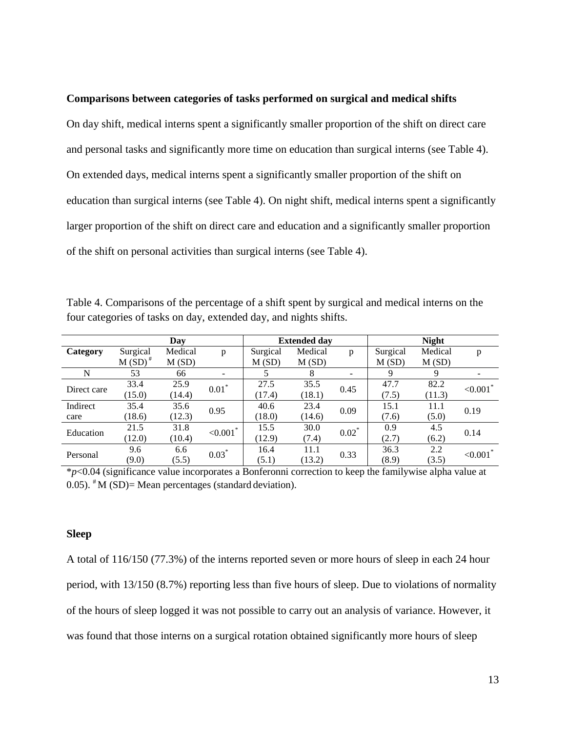### **Comparisons between categories of tasks performed on surgical and medical shifts**

On day shift, medical interns spent a significantly smaller proportion of the shift on direct care and personal tasks and significantly more time on education than surgical interns (see Table 4). On extended days, medical interns spent a significantly smaller proportion of the shift on education than surgical interns (see Table 4). On night shift, medical interns spent a significantly larger proportion of the shift on direct care and education and a significantly smaller proportion of the shift on personal activities than surgical interns (see Table 4).

Table 4. Comparisons of the percentage of a shift spent by surgical and medical interns on the four categories of tasks on day, extended day, and nights shifts.

|             |           | Day     |                          |          | <b>Extended day</b> |          | <b>Night</b> |         |                         |  |
|-------------|-----------|---------|--------------------------|----------|---------------------|----------|--------------|---------|-------------------------|--|
| Category    | Surgical  | Medical | p                        | Surgical | Medical             | p        | Surgical     | Medical | p                       |  |
|             | $M(SD)^*$ | M(SD)   |                          | M(SD)    | M(SD)               |          | M(SD)        | M(SD)   |                         |  |
| N           | 53        | 66      | $\overline{\phantom{a}}$ |          | 8                   | Ξ.       | 9            | 9       |                         |  |
| Direct care | 33.4      | 25.9    | $0.01*$                  | 27.5     | 35.5                | 0.45     | 47.7         | 82.2    | ${<}0.001$ <sup>*</sup> |  |
|             | (15.0)    | (14.4)  |                          | (17.4)   | (18.1)              |          | (7.5)        | (11.3)  |                         |  |
| Indirect    | 35.4      | 35.6    | 0.95                     | 40.6     | 23.4                | 0.09     | 15.1         | 11.1    | 0.19                    |  |
| care        | (18.6)    | (12.3)  |                          | (18.0)   | (14.6)              |          | (7.6)        | (5.0)   |                         |  |
| Education   | 21.5      | 31.8    | ${<}0.001$ <sup>*</sup>  | 15.5     | 30.0                | $0.02^*$ | 0.9          | 4.5     | 0.14                    |  |
|             | (12.0)    | (10.4)  |                          | (12.9)   | (7.4)               |          | (2.7)        | (6.2)   |                         |  |
| Personal    | 9.6       | 6.6     | $0.03*$                  | 16.4     | 11.1                | 0.33     | 36.3         | 2.2     | ${<}0.001$ *            |  |
|             | (9.0)     | (5.5)   |                          | (5.1)    | (13.2)              |          | (8.9)        | (3.5)   |                         |  |

\**p*<0.04 (significance value incorporates a Bonferonni correction to keep the familywise alpha value at 0.05).  $^*$ M (SD)= Mean percentages (standard deviation).

## **Sleep**

A total of 116/150 (77.3%) of the interns reported seven or more hours of sleep in each 24 hour period, with 13/150 (8.7%) reporting less than five hours of sleep. Due to violations of normality of the hours of sleep logged it was not possible to carry out an analysis of variance. However, it was found that those interns on a surgical rotation obtained significantly more hours of sleep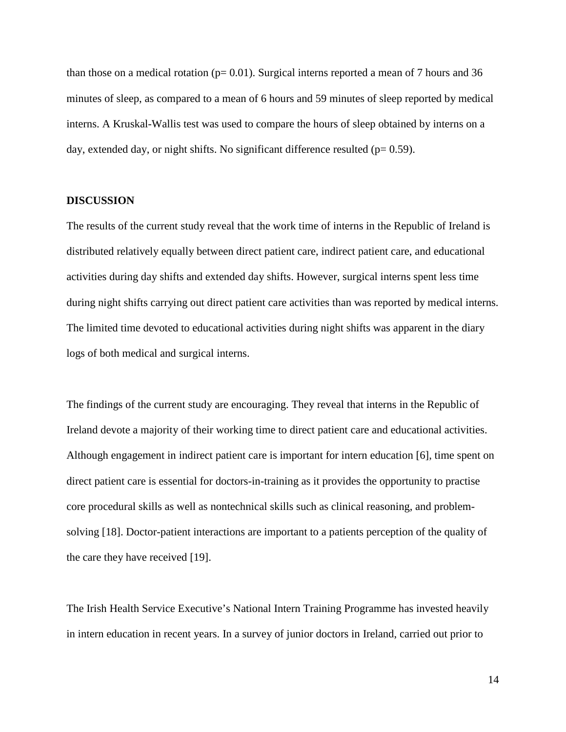than those on a medical rotation ( $p= 0.01$ ). Surgical interns reported a mean of 7 hours and 36 minutes of sleep, as compared to a mean of 6 hours and 59 minutes of sleep reported by medical interns. A Kruskal-Wallis test was used to compare the hours of sleep obtained by interns on a day, extended day, or night shifts. No significant difference resulted ( $p= 0.59$ ).

## **DISCUSSION**

The results of the current study reveal that the work time of interns in the Republic of Ireland is distributed relatively equally between direct patient care, indirect patient care, and educational activities during day shifts and extended day shifts. However, surgical interns spent less time during night shifts carrying out direct patient care activities than was reported by medical interns. The limited time devoted to educational activities during night shifts was apparent in the diary logs of both medical and surgical interns.

The findings of the current study are encouraging. They reveal that interns in the Republic of Ireland devote a majority of their working time to direct patient care and educational activities. Although engagement in indirect patient care is important for intern education [6], time spent on direct patient care is essential for doctors-in-training as it provides the opportunity to practise core procedural skills as well as nontechnical skills such as clinical reasoning, and problemsolving [18]. Doctor-patient interactions are important to a patients perception of the quality of the care they have received [19].

The Irish Health Service Executive's National Intern Training Programme has invested heavily in intern education in recent years. In a survey of junior doctors in Ireland, carried out prior to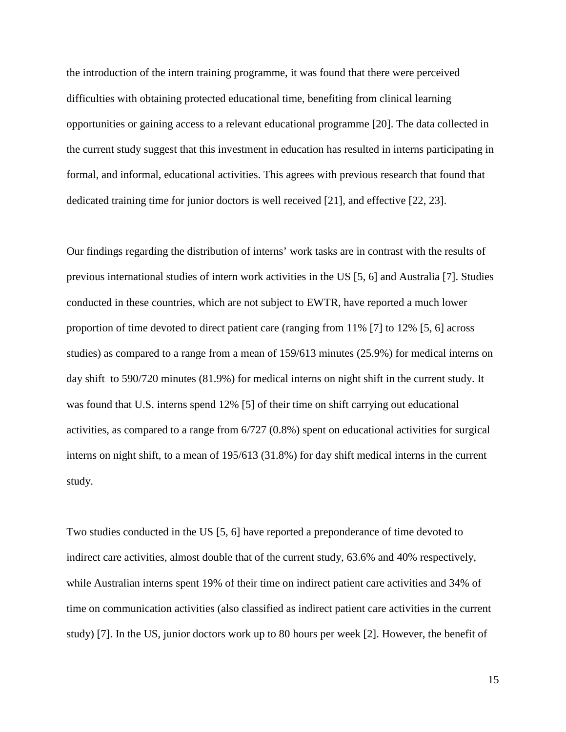the introduction of the intern training programme, it was found that there were perceived difficulties with obtaining protected educational time, benefiting from clinical learning opportunities or gaining access to a relevant educational programme [20]. The data collected in the current study suggest that this investment in education has resulted in interns participating in formal, and informal, educational activities. This agrees with previous research that found that dedicated training time for junior doctors is well received [21], and effective [22, 23].

Our findings regarding the distribution of interns' work tasks are in contrast with the results of previous international studies of intern work activities in the US [5, 6] and Australia [7]. Studies conducted in these countries, which are not subject to EWTR, have reported a much lower proportion of time devoted to direct patient care (ranging from 11% [7] to 12% [5, 6] across studies) as compared to a range from a mean of 159/613 minutes (25.9%) for medical interns on day shift to 590/720 minutes (81.9%) for medical interns on night shift in the current study. It was found that U.S. interns spend 12% [5] of their time on shift carrying out educational activities, as compared to a range from 6/727 (0.8%) spent on educational activities for surgical interns on night shift, to a mean of 195/613 (31.8%) for day shift medical interns in the current study.

Two studies conducted in the US [5, 6] have reported a preponderance of time devoted to indirect care activities, almost double that of the current study, 63.6% and 40% respectively, while Australian interns spent 19% of their time on indirect patient care activities and 34% of time on communication activities (also classified as indirect patient care activities in the current study) [7]. In the US, junior doctors work up to 80 hours per week [2]. However, the benefit of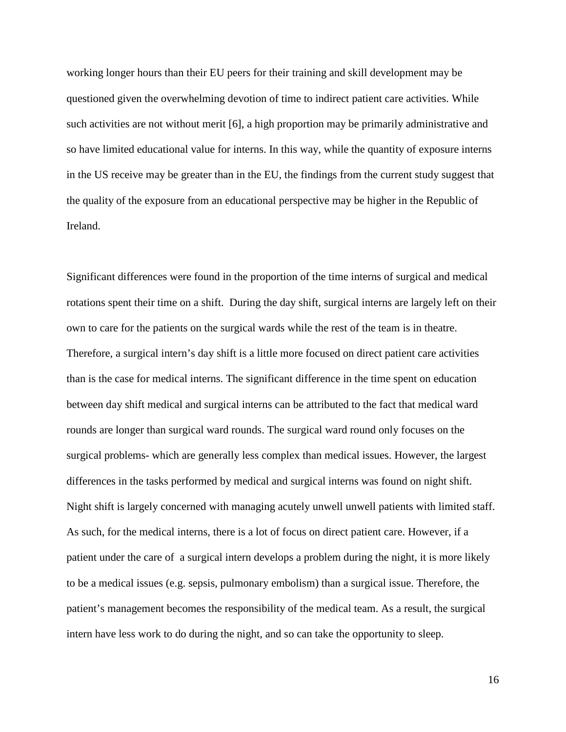working longer hours than their EU peers for their training and skill development may be questioned given the overwhelming devotion of time to indirect patient care activities. While such activities are not without merit [6], a high proportion may be primarily administrative and so have limited educational value for interns. In this way, while the quantity of exposure interns in the US receive may be greater than in the EU, the findings from the current study suggest that the quality of the exposure from an educational perspective may be higher in the Republic of Ireland.

Significant differences were found in the proportion of the time interns of surgical and medical rotations spent their time on a shift. During the day shift, surgical interns are largely left on their own to care for the patients on the surgical wards while the rest of the team is in theatre. Therefore, a surgical intern's day shift is a little more focused on direct patient care activities than is the case for medical interns. The significant difference in the time spent on education between day shift medical and surgical interns can be attributed to the fact that medical ward rounds are longer than surgical ward rounds. The surgical ward round only focuses on the surgical problems- which are generally less complex than medical issues. However, the largest differences in the tasks performed by medical and surgical interns was found on night shift. Night shift is largely concerned with managing acutely unwell unwell patients with limited staff. As such, for the medical interns, there is a lot of focus on direct patient care. However, if a patient under the care of a surgical intern develops a problem during the night, it is more likely to be a medical issues (e.g. sepsis, pulmonary embolism) than a surgical issue. Therefore, the patient's management becomes the responsibility of the medical team. As a result, the surgical intern have less work to do during the night, and so can take the opportunity to sleep.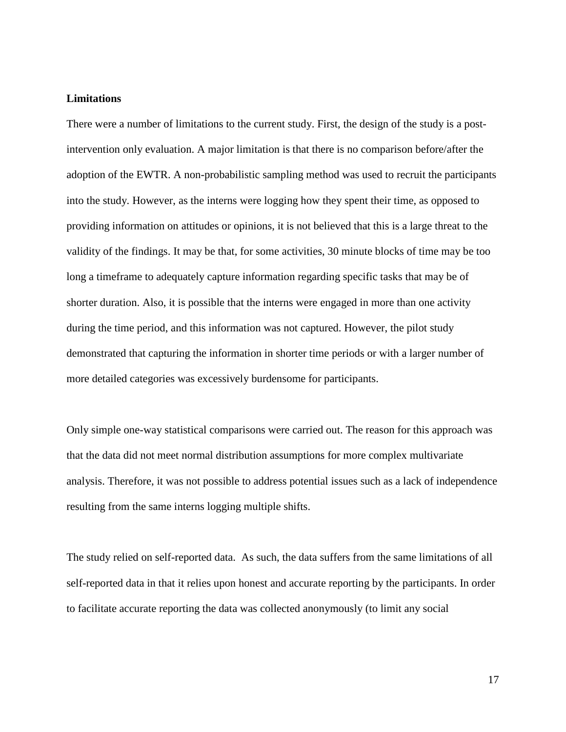## **Limitations**

There were a number of limitations to the current study. First, the design of the study is a postintervention only evaluation. A major limitation is that there is no comparison before/after the adoption of the EWTR. A non-probabilistic sampling method was used to recruit the participants into the study. However, as the interns were logging how they spent their time, as opposed to providing information on attitudes or opinions, it is not believed that this is a large threat to the validity of the findings. It may be that, for some activities, 30 minute blocks of time may be too long a timeframe to adequately capture information regarding specific tasks that may be of shorter duration. Also, it is possible that the interns were engaged in more than one activity during the time period, and this information was not captured. However, the pilot study demonstrated that capturing the information in shorter time periods or with a larger number of more detailed categories was excessively burdensome for participants.

Only simple one-way statistical comparisons were carried out. The reason for this approach was that the data did not meet normal distribution assumptions for more complex multivariate analysis. Therefore, it was not possible to address potential issues such as a lack of independence resulting from the same interns logging multiple shifts.

The study relied on self-reported data. As such, the data suffers from the same limitations of all self-reported data in that it relies upon honest and accurate reporting by the participants. In order to facilitate accurate reporting the data was collected anonymously (to limit any social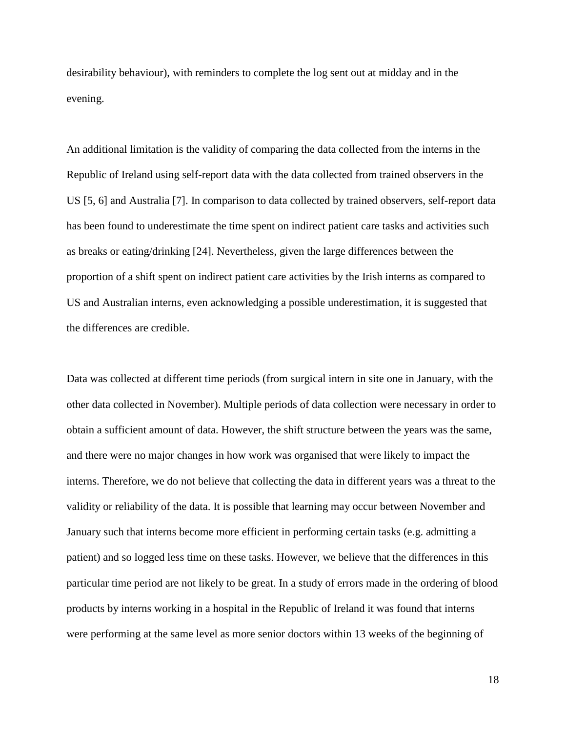desirability behaviour), with reminders to complete the log sent out at midday and in the evening.

An additional limitation is the validity of comparing the data collected from the interns in the Republic of Ireland using self-report data with the data collected from trained observers in the US [5, 6] and Australia [7]. In comparison to data collected by trained observers, self-report data has been found to underestimate the time spent on indirect patient care tasks and activities such as breaks or eating/drinking [24]. Nevertheless, given the large differences between the proportion of a shift spent on indirect patient care activities by the Irish interns as compared to US and Australian interns, even acknowledging a possible underestimation, it is suggested that the differences are credible.

Data was collected at different time periods (from surgical intern in site one in January, with the other data collected in November). Multiple periods of data collection were necessary in order to obtain a sufficient amount of data. However, the shift structure between the years was the same, and there were no major changes in how work was organised that were likely to impact the interns. Therefore, we do not believe that collecting the data in different years was a threat to the validity or reliability of the data. It is possible that learning may occur between November and January such that interns become more efficient in performing certain tasks (e.g. admitting a patient) and so logged less time on these tasks. However, we believe that the differences in this particular time period are not likely to be great. In a study of errors made in the ordering of blood products by interns working in a hospital in the Republic of Ireland it was found that interns were performing at the same level as more senior doctors within 13 weeks of the beginning of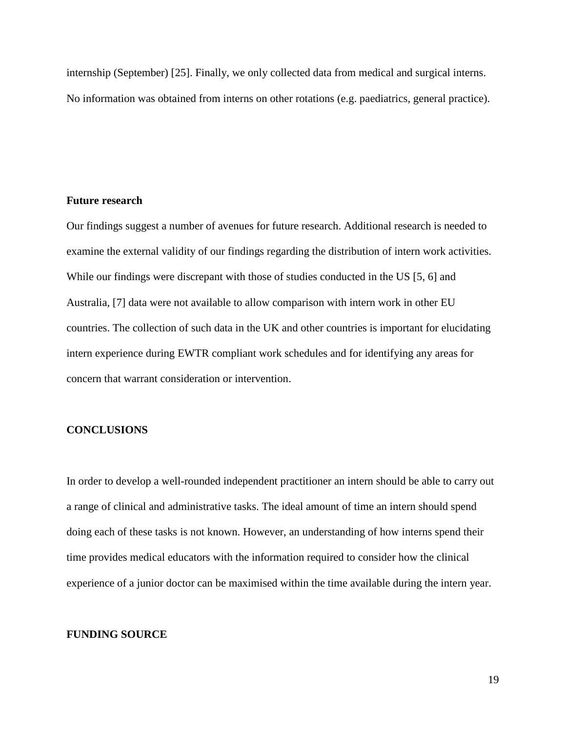internship (September) [25]. Finally, we only collected data from medical and surgical interns. No information was obtained from interns on other rotations (e.g. paediatrics, general practice).

## **Future research**

Our findings suggest a number of avenues for future research. Additional research is needed to examine the external validity of our findings regarding the distribution of intern work activities. While our findings were discrepant with those of studies conducted in the US [5, 6] and Australia, [7] data were not available to allow comparison with intern work in other EU countries. The collection of such data in the UK and other countries is important for elucidating intern experience during EWTR compliant work schedules and for identifying any areas for concern that warrant consideration or intervention.

## **CONCLUSIONS**

In order to develop a well-rounded independent practitioner an intern should be able to carry out a range of clinical and administrative tasks. The ideal amount of time an intern should spend doing each of these tasks is not known. However, an understanding of how interns spend their time provides medical educators with the information required to consider how the clinical experience of a junior doctor can be maximised within the time available during the intern year.

#### **FUNDING SOURCE**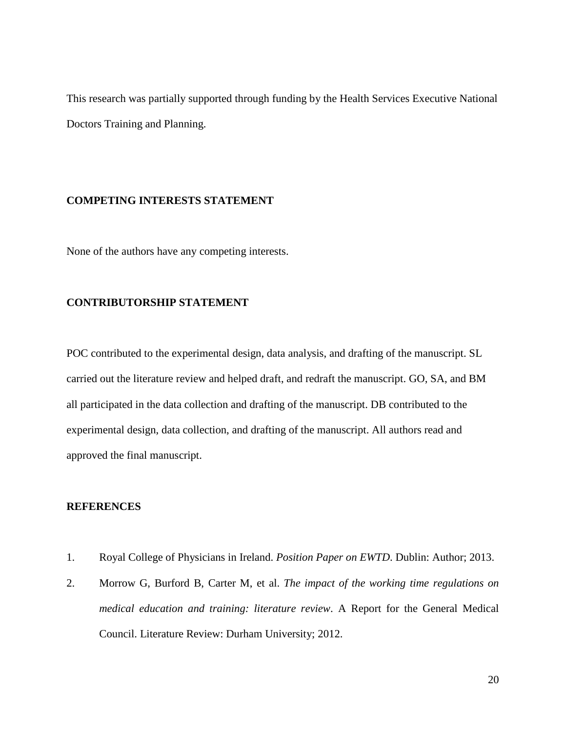This research was partially supported through funding by the Health Services Executive National Doctors Training and Planning.

## **COMPETING INTERESTS STATEMENT**

None of the authors have any competing interests.

## **CONTRIBUTORSHIP STATEMENT**

POC contributed to the experimental design, data analysis, and drafting of the manuscript. SL carried out the literature review and helped draft, and redraft the manuscript. GO, SA, and BM all participated in the data collection and drafting of the manuscript. DB contributed to the experimental design, data collection, and drafting of the manuscript. All authors read and approved the final manuscript.

## **REFERENCES**

- 1. Royal College of Physicians in Ireland. *Position Paper on EWTD*. Dublin: Author; 2013.
- 2. Morrow G, Burford B, Carter M, et al. *The impact of the working time regulations on medical education and training: literature review*. A Report for the General Medical Council. Literature Review: Durham University; 2012.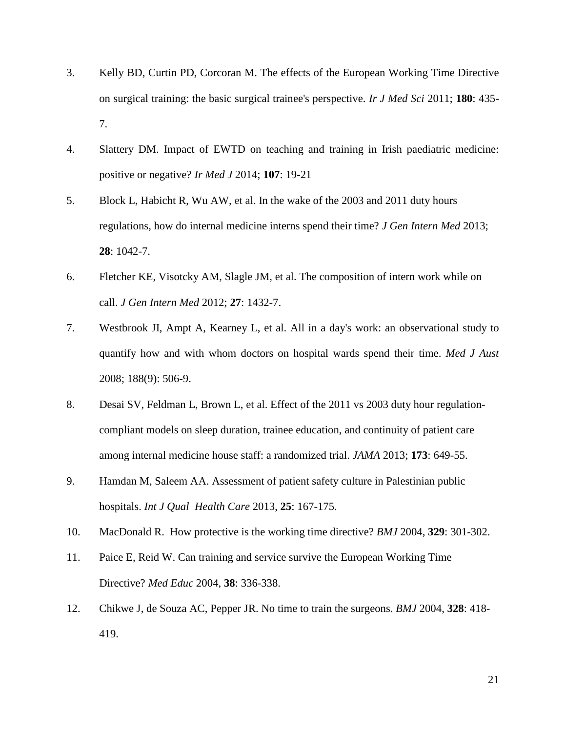- 3. Kelly BD, Curtin PD, Corcoran M. The effects of the European Working Time Directive on surgical training: the basic surgical trainee's perspective. *Ir J Med Sci* 2011; **180**: 435- 7.
- 4. Slattery DM. Impact of EWTD on teaching and training in Irish paediatric medicine: positive or negative? *Ir Med J* 2014; **107**: 19-21
- 5. Block L, Habicht R, Wu AW, et al. In the wake of the 2003 and 2011 duty hours regulations, how do internal medicine interns spend their time? *J Gen Intern Med* 2013; **28**: 1042-7.
- 6. Fletcher KE, Visotcky AM, Slagle JM, et al. The composition of intern work while on call. *J Gen Intern Med* 2012; **27**: 1432-7.
- 7. Westbrook JI, Ampt A, Kearney L, et al. All in a day's work: an observational study to quantify how and with whom doctors on hospital wards spend their time. *Med J Aust* 2008; 188(9): 506-9.
- 8. Desai SV, Feldman L, Brown L, et al. Effect of the 2011 vs 2003 duty hour regulationcompliant models on sleep duration, trainee education, and continuity of patient care among internal medicine house staff: a randomized trial. *JAMA* 2013; **173**: 649-55.
- 9. Hamdan M, Saleem AA. Assessment of patient safety culture in Palestinian public hospitals. *Int J Qual Health Care* 2013, **25**: 167-175.
- 10. MacDonald R. How protective is the working time directive? *BMJ* 2004, **329**: 301-302.
- 11. Paice E, Reid W. Can training and service survive the European Working Time Directive? *Med Educ* 2004, **38**: 336-338.
- 12. Chikwe J, de Souza AC, Pepper JR. No time to train the surgeons. *BMJ* 2004, **328**: 418- 419.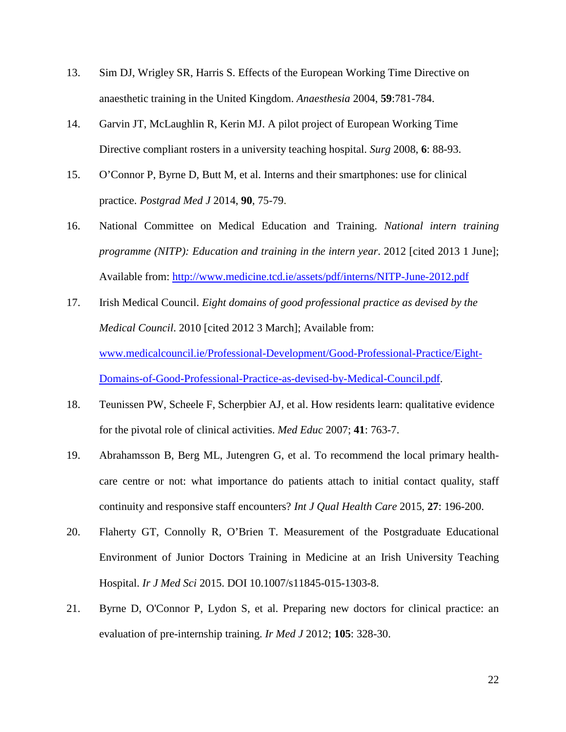- 13. Sim DJ, Wrigley SR, Harris S. Effects of the European Working Time Directive on anaesthetic training in the United Kingdom. *Anaesthesia* 2004, **59**:781-784.
- 14. Garvin JT, McLaughlin R, Kerin MJ. A pilot project of European Working Time Directive compliant rosters in a university teaching hospital. *Surg* 2008, **6**: 88-93.
- 15. O'Connor P, Byrne D, Butt M, et al. Interns and their smartphones: use for clinical practice. *Postgrad Med J* 2014, **90**, 75-79.
- 16. National Committee on Medical Education and Training. *National intern training programme (NITP): Education and training in the intern year*. 2012 [cited 2013 1 June]; Available from:<http://www.medicine.tcd.ie/assets/pdf/interns/NITP-June-2012.pdf>
- 17. Irish Medical Council. *Eight domains of good professional practice as devised by the Medical Council*. 2010 [cited 2012 3 March]; Available from: [www.medicalcouncil.ie/Professional-Development/Good-Professional-Practice/Eight-](http://www.medicalcouncil.ie/Professional-Development/Good-Professional-Practice/Eight-Domains-of-Good-Professional-Practice-as-devised-by-Medical-Council.pdf)[Domains-of-Good-Professional-Practice-as-devised-by-Medical-Council.pdf.](http://www.medicalcouncil.ie/Professional-Development/Good-Professional-Practice/Eight-Domains-of-Good-Professional-Practice-as-devised-by-Medical-Council.pdf)
- 18. Teunissen PW, Scheele F, Scherpbier AJ, et al. How residents learn: qualitative evidence for the pivotal role of clinical activities. *Med Educ* 2007; **41**: 763-7.
- 19. Abrahamsson B, Berg ML, Jutengren G, et al. To recommend the local primary healthcare centre or not: what importance do patients attach to initial contact quality, staff continuity and responsive staff encounters? *Int J Qual Health Care* 2015, **27**: 196-200.
- 20. Flaherty GT, Connolly R, O'Brien T. Measurement of the Postgraduate Educational Environment of Junior Doctors Training in Medicine at an Irish University Teaching Hospital. *Ir J Med Sci* 2015. DOI 10.1007/s11845-015-1303-8.
- 21. Byrne D, O'Connor P, Lydon S, et al. Preparing new doctors for clinical practice: an evaluation of pre-internship training. *Ir Med J* 2012; **105**: 328-30.